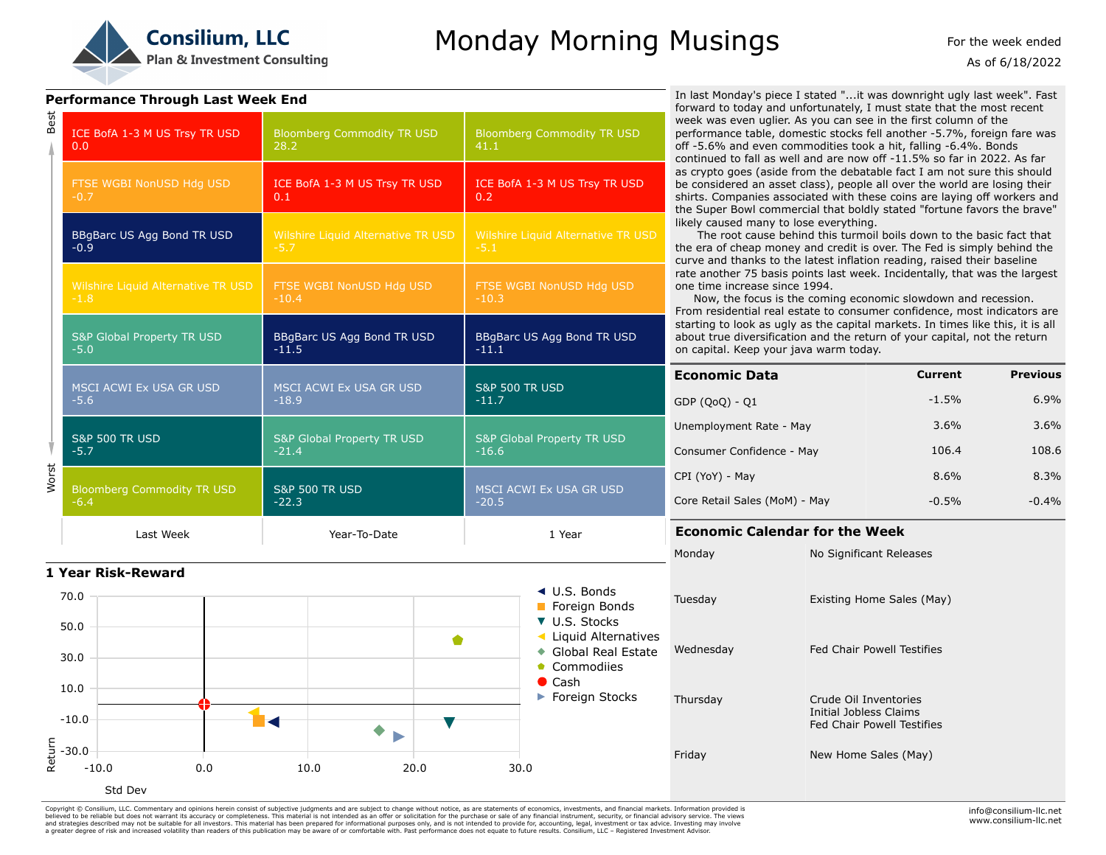

# Monday Morning Musings

As of 6/18/2022 For the week ended

#### **Performance Through Last Week End**

| Best  | ICE BofA 1-3 M US Trsy TR USD<br>0.0         | <b>Bloomberg Commodity TR USD</b><br>28.2    | <b>Bloomberg Commodity TR USD</b><br>41.1        |
|-------|----------------------------------------------|----------------------------------------------|--------------------------------------------------|
| Worst | <b>FTSE WGBI NonUSD Hdg USD</b><br>$-0.7$    | ICE BofA 1-3 M US Trsy TR USD<br>0.1         | ICE BofA 1-3 M US Trsy TR USD<br>0.2             |
|       | BBgBarc US Agg Bond TR USD<br>$-0.9$         | Wilshire Liquid Alternative TR USD<br>$-5.7$ | Wilshire Liquid Alternative TR USD<br>$-5.1$     |
|       | Wilshire Liquid Alternative TR USD<br>$-1.8$ | FTSE WGBI NonUSD Hdg USD<br>$-10.4$          | FTSE WGBI NonUSD Hdg USD<br>$-10.3$              |
|       | S&P Global Property TR USD<br>$-5.0$         | BBgBarc US Agg Bond TR USD<br>$-11.5$        | BBqBarc US Agg Bond TR USD<br>$-11.1$            |
|       | MSCI ACWI Ex USA GR USD<br>$-5.6$            | MSCI ACWI Ex USA GR USD<br>$-18.9$           | <b>S&amp;P 500 TR USD</b><br>$-11.7$             |
|       | <b>S&amp;P 500 TR USD</b><br>$-5.7$          | S&P Global Property TR USD<br>$-21.4$        | <b>S&amp;P Global Property TR USD</b><br>$-16.6$ |
|       | <b>Bloomberg Commodity TR USD</b><br>$-6.4$  | <b>S&amp;P 500 TR USD</b><br>$-22.3$         | MSCI ACWI Ex USA GR USD<br>$-20.5$               |
|       | Last Week                                    | Year-To-Date                                 | 1 Year                                           |

In last Monday's piece I stated "...it was downright ugly last week". Fast forward to today and unfortunately, I must state that the most recent week was even uglier. As you can see in the first column of the performance table, domestic stocks fell another -5.7%, foreign fare was off -5.6% and even commodities took a hit, falling -6.4%. Bonds continued to fall as well and are now off -11.5% so far in 2022. As far as crypto goes (aside from the debatable fact I am not sure this should be considered an asset class), people all over the world are losing their shirts. Companies associated with these coins are laying off workers and the Super Bowl commercial that boldly stated "fortune favors the brave" likely caused many to lose everything.

The root cause behind this turmoil boils down to the basic fact that the era of cheap money and credit is over. The Fed is simply behind the curve and thanks to the latest inflation reading, raised their baseline rate another 75 basis points last week. Incidentally, that was the largest one time increase since 1994.

Now, the focus is the coming economic slowdown and recession. From residential real estate to consumer confidence, most indicators are starting to look as ugly as the capital markets. In times like this, it is all about true diversification and the return of your capital, not the return on capital. Keep your java warm today.

| <b>Economic Data</b>          | <b>Current</b> | <b>Previous</b> |
|-------------------------------|----------------|-----------------|
| GDP (QoQ) - Q1                | $-1.5%$        | 6.9%            |
| Unemployment Rate - May       | 3.6%           | 3.6%            |
| Consumer Confidence - May     | 106.4          | 108.6           |
| CPI (YoY) - May               | 8.6%           | 8.3%            |
| Core Retail Sales (MoM) - May | $-0.5%$        | $-0.4%$         |

### **Economic Calendar for the Week**

Monday No Significant Releases



Copyright © Consilium, LLC. Commentary and opinions herein consist of subjective judgments and are subject to change without notice, as are statements of economics, investments, and financial markets. Information provided believed to be reliable but does not warrant its accuracy or completenes. This material is not intended as an offer or solicitation for the purchase or sale of any financial instrument, security in the search of intended t a greater degree of risk and increased volatility than readers of this publication may be aware of or comfortable with. Past performance does not equate to future results. Consilium, LLC – Registered Investment Advisor.